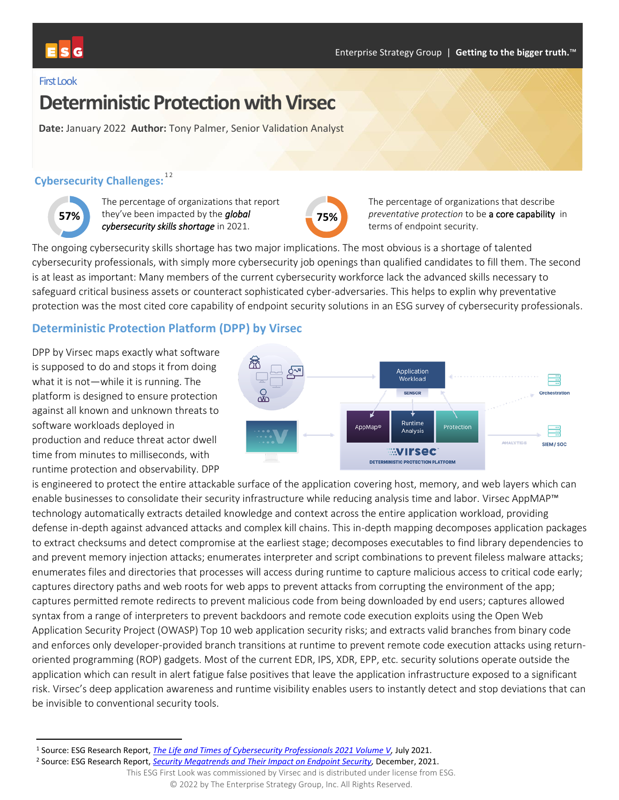

#### First Look

# **Deterministic Protection with Virsec**

**Date:** January 2022 **Author:** Tony Palmer, Senior Validation Analyst

## **Cybersecurity Challenges:**<sup>12</sup>



The percentage of organizations that report they've been impacted by the *global*  **57% 75%***cybersecurity skills shortage* in 2021.



The percentage of organizations that describe *preventative protection* to be a core capability in terms of endpoint security.

The ongoing cybersecurity skills shortage has two major implications. The most obvious is a shortage of talented cybersecurity professionals, with simply more cybersecurity job openings than qualified candidates to fill them. The second is at least as important: Many members of the current cybersecurity workforce lack the advanced skills necessary to safeguard critical business assets or counteract sophisticated cyber-adversaries. This helps to explin why preventative protection was the most cited core capability of endpoint security solutions in an ESG survey of cybersecurity professionals.

## **Deterministic Protection Platform (DPP) by Virsec**

DPP by Virsec maps exactly what software is supposed to do and stops it from doing what it is not—while it is running. The platform is designed to ensure protection against all known and unknown threats to software workloads deployed in production and reduce threat actor dwell time from minutes to milliseconds, with runtime protection and observability. DPP



is engineered to protect the entire attackable surface of the application covering host, memory, and web layers which can enable businesses to consolidate their security infrastructure while reducing analysis time and labor. Virsec AppMAP™ technology automatically extracts detailed knowledge and context across the entire application workload, providing defense in-depth against advanced attacks and complex kill chains. This in-depth mapping decomposes application packages to extract checksums and detect compromise at the earliest stage; decomposes executables to find library dependencies to and prevent memory injection attacks; enumerates interpreter and script combinations to prevent fileless malware attacks; enumerates files and directories that processes will access during runtime to capture malicious access to critical code early; captures directory paths and web roots for web apps to prevent attacks from corrupting the environment of the app; captures permitted remote redirects to prevent malicious code from being downloaded by end users; captures allowed syntax from a range of interpreters to prevent backdoors and remote code execution exploits using the Open Web Application Security Project (OWASP) Top 10 web application security risks; and extracts valid branches from binary code and enforces only developer-provided branch transitions at runtime to prevent remote code execution attacks using returnoriented programming (ROP) gadgets. Most of the current EDR, IPS, XDR, EPP, etc. security solutions operate outside the application which can result in alert fatigue false positives that leave the application infrastructure exposed to a significant risk. Virsec's deep application awareness and runtime visibility enables users to instantly detect and stop deviations that can be invisible to conventional security tools.

<sup>1</sup> Source: ESG Research Report, *[The Life and Times of Cybersecurity Professionals 2021 Volume V,](https://research.esg-global.com/reportaction/LifeandTimesCybersecurityProfessionals2021VolumeV/Toc)* July 2021.

<sup>2</sup> Source: ESG Research Report, *[Security Megatrends and Their Impact on Endpoint Security,](https://research.esg-global.com/reportaction/SecurityMegatrendsImpactEndpointSecurity/Toc)* December, 2021.

This ESG First Look was commissioned by Virsec and is distributed under license from ESG. © 2022 by The Enterprise Strategy Group, Inc. All Rights Reserved.